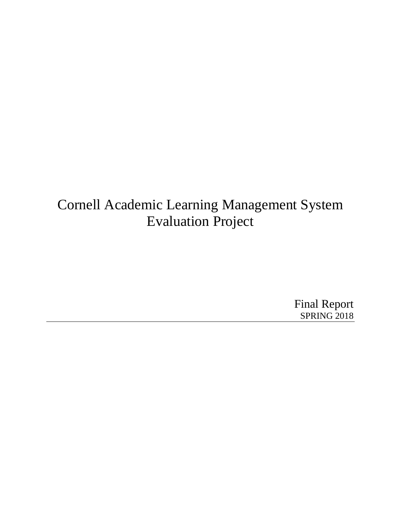## Cornell Academic Learning Management System Evaluation Project

Final Report SPRING 2018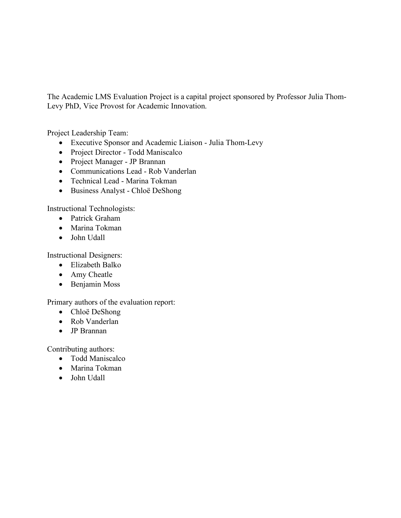The Academic LMS Evaluation Project is a capital project sponsored by Professor Julia Thom-Levy PhD, Vice Provost for Academic Innovation.

Project Leadership Team:

- Executive Sponsor and Academic Liaison Julia Thom-Levy
- Project Director Todd Maniscalco
- Project Manager JP Brannan
- Communications Lead Rob Vanderlan
- Technical Lead Marina Tokman
- Business Analyst Chloë DeShong

Instructional Technologists:

- Patrick Graham
- Marina Tokman
- John Udall

Instructional Designers:

- Elizabeth Balko
- Amy Cheatle
- Benjamin Moss

Primary authors of the evaluation report:

- Chloë DeShong
- Rob Vanderlan
- JP Brannan

Contributing authors:

- Todd Maniscalco
- Marina Tokman
- John Udall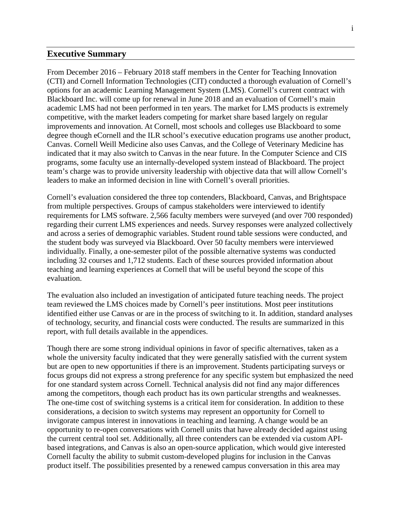## **Executive Summary**

From December 2016 – February 2018 staff members in the Center for Teaching Innovation (CTI) and Cornell Information Technologies (CIT) conducted a thorough evaluation of Cornell's options for an academic Learning Management System (LMS). Cornell's current contract with Blackboard Inc. will come up for renewal in June 2018 and an evaluation of Cornell's main academic LMS had not been performed in ten years. The market for LMS products is extremely competitive, with the market leaders competing for market share based largely on regular improvements and innovation. At Cornell, most schools and colleges use Blackboard to some degree though eCornell and the ILR school's executive education programs use another product, Canvas. Cornell Weill Medicine also uses Canvas, and the College of Veterinary Medicine has indicated that it may also switch to Canvas in the near future. In the Computer Science and CIS programs, some faculty use an internally-developed system instead of Blackboard. The project team's charge was to provide university leadership with objective data that will allow Cornell's leaders to make an informed decision in line with Cornell's overall priorities.

Cornell's evaluation considered the three top contenders, Blackboard, Canvas, and Brightspace from multiple perspectives. Groups of campus stakeholders were interviewed to identify requirements for LMS software. 2,566 faculty members were surveyed (and over 700 responded) regarding their current LMS experiences and needs. Survey responses were analyzed collectively and across a series of demographic variables. Student round table sessions were conducted, and the student body was surveyed via Blackboard. Over 50 faculty members were interviewed individually. Finally, a one-semester pilot of the possible alternative systems was conducted including 32 courses and 1,712 students. Each of these sources provided information about teaching and learning experiences at Cornell that will be useful beyond the scope of this evaluation.

The evaluation also included an investigation of anticipated future teaching needs. The project team reviewed the LMS choices made by Cornell's peer institutions. Most peer institutions identified either use Canvas or are in the process of switching to it. In addition, standard analyses of technology, security, and financial costs were conducted. The results are summarized in this report, with full details available in the appendices.

Though there are some strong individual opinions in favor of specific alternatives, taken as a whole the university faculty indicated that they were generally satisfied with the current system but are open to new opportunities if there is an improvement. Students participating surveys or focus groups did not express a strong preference for any specific system but emphasized the need for one standard system across Cornell. Technical analysis did not find any major differences among the competitors, though each product has its own particular strengths and weaknesses. The one-time cost of switching systems is a critical item for consideration. In addition to these considerations, a decision to switch systems may represent an opportunity for Cornell to invigorate campus interest in innovations in teaching and learning. A change would be an opportunity to re-open conversations with Cornell units that have already decided against using the current central tool set. Additionally, all three contenders can be extended via custom APIbased integrations, and Canvas is also an open-source application, which would give interested Cornell faculty the ability to submit custom-developed plugins for inclusion in the Canvas product itself. The possibilities presented by a renewed campus conversation in this area may